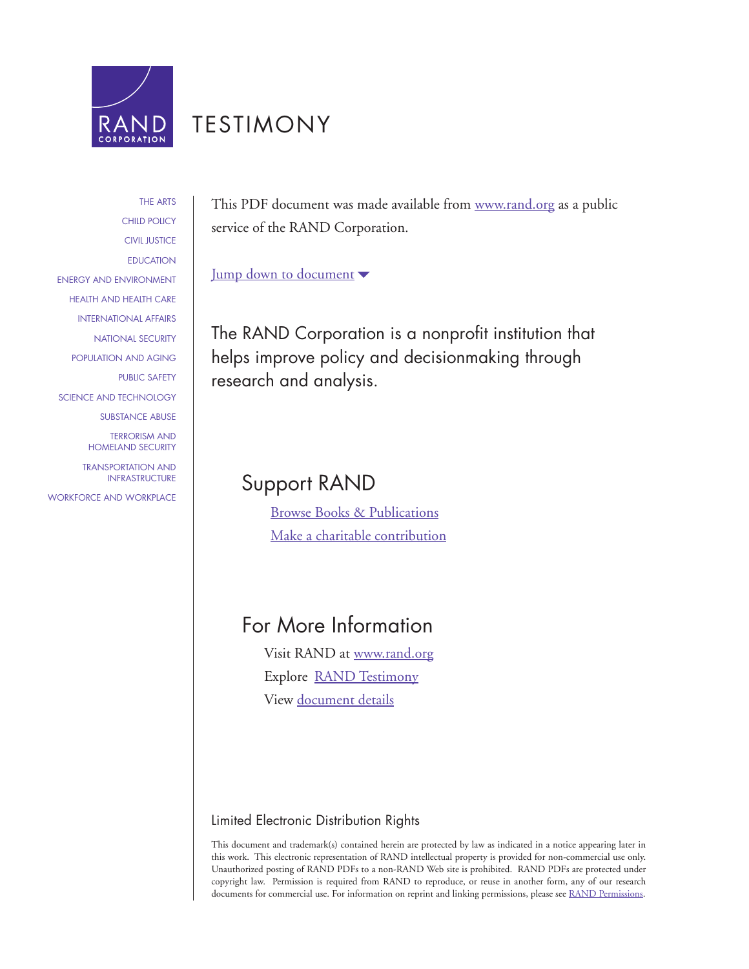

# [TESTIMONY](http://www.rand.org/pdfrd/congress/testimony.html)

[THE ARTS](http://www.rand.org/pdfrd/research_areas/arts/) [CHILD POLICY](http://www.rand.org/pdfrd/research_areas/children/) [CIVIL JUSTICE](http://www.rand.org/pdfrd/research_areas/civil_justice/) [EDUCATION](http://www.rand.org/pdfrd/research_areas/education/) [ENERGY AND ENVIRONMENT](http://www.rand.org/pdfrd/research_areas/energy_environment/) [HEALTH AND HEALTH CARE](http://www.rand.org/pdfrd/research_areas/health/) [INTERNATIONAL AFFAIRS](http://www.rand.org/pdfrd/research_areas/international_affairs/) [NATIONAL SECURITY](http://www.rand.org/pdfrd/research_areas/national_security/) [POPULATION AND AGING](http://www.rand.org/pdfrd/research_areas/population/) [PUBLIC SAFETY](http://www.rand.org/pdfrd/research_areas/public_safety/) [SCIENCE AND TECHNOLOGY](http://www.rand.org/pdfrd/research_areas/science_technology/) [SUBSTANCE ABUSE](http://www.rand.org/pdfrd/research_areas/substance_abuse/) TERRORISM AND

[TRANSPORTATION AND](http://www.rand.org/pdfrd/research_areas/infrastructure/) INFRASTRUCTURE

[HOMELAND SECURITY](http://www.rand.org/pdfrd/research_areas/terrorism/)

[WORKFORCE AND WORKPLACE](http://www.rand.org/pdfrd/research_areas/workforce/)

This PDF document was made available from [www.rand.org](http://www.rand.org/pdfrd/) as a public service of the RAND Corporation.

[Jump down to document](#page--1-0)  $\blacktriangledown$ 

The RAND Corporation is a nonprofit institution that helps improve policy and decisionmaking through research and analysis.

# Support RAND

[Browse Books & Publications](http://www.rand.org/pdfrd/pubs/online/) [Make a charitable contribution](http://www.rand.org/pdfrd/giving/contribute.html)

# For More Information

Visit RAND at [www.rand.org](http://www.rand.org/pdfrd/) Explore [RAND Testimony](http://www.rand.org/pdfrd/congress/testimony.html) View [document details](http://www.rand.org/pdfrd/pubs/testimonies/CT349/)

## Limited Electronic Distribution Rights

This document and trademark(s) contained herein are protected by law as indicated in a notice appearing later in this work. This electronic representation of RAND intellectual property is provided for non-commercial use only. Unauthorized posting of RAND PDFs to a non-RAND Web site is prohibited. RAND PDFs are protected under copyright law. Permission is required from RAND to reproduce, or reuse in another form, any of our research documents for commercial use. For information on reprint and linking permissions, please see [RAND Permissions.](http://www.rand.org/pdfrd/publications/permissions.html)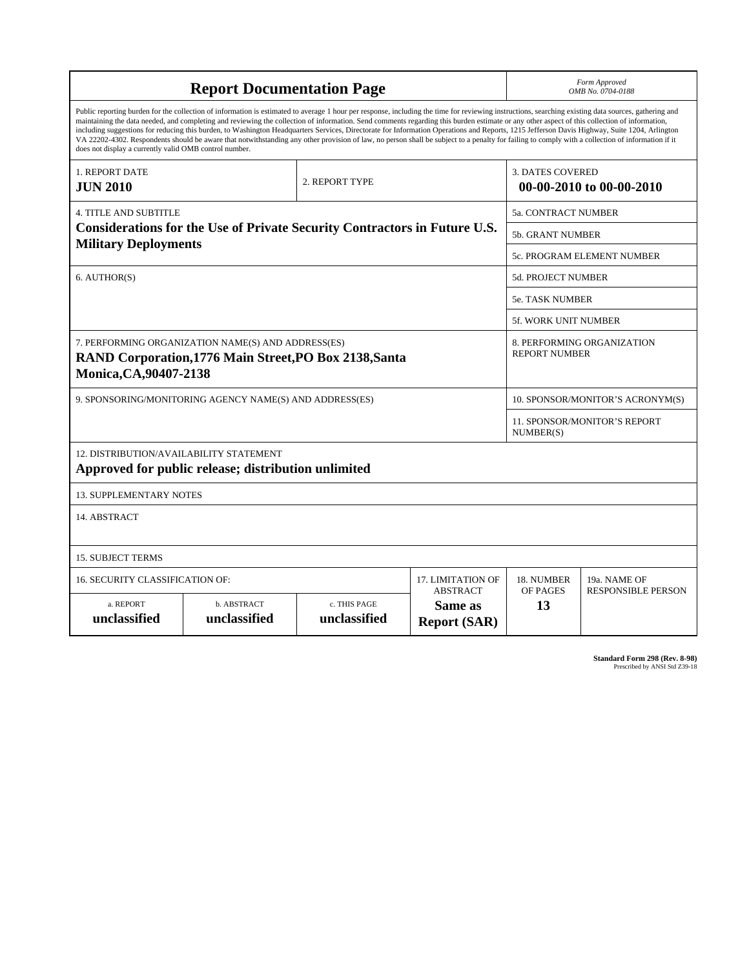| <b>Report Documentation Page</b>                                                                                                                                                                                                                                                                                                                                                                                                                                                                                                                                                                                                                                                                                                                                                                                                                                   |                             |                              |                                                   | Form Approved<br>OMB No. 0704-0188                  |                           |
|--------------------------------------------------------------------------------------------------------------------------------------------------------------------------------------------------------------------------------------------------------------------------------------------------------------------------------------------------------------------------------------------------------------------------------------------------------------------------------------------------------------------------------------------------------------------------------------------------------------------------------------------------------------------------------------------------------------------------------------------------------------------------------------------------------------------------------------------------------------------|-----------------------------|------------------------------|---------------------------------------------------|-----------------------------------------------------|---------------------------|
| Public reporting burden for the collection of information is estimated to average 1 hour per response, including the time for reviewing instructions, searching existing data sources, gathering and<br>maintaining the data needed, and completing and reviewing the collection of information. Send comments regarding this burden estimate or any other aspect of this collection of information,<br>including suggestions for reducing this burden, to Washington Headquarters Services, Directorate for Information Operations and Reports, 1215 Jefferson Davis Highway, Suite 1204, Arlington<br>VA 22202-4302. Respondents should be aware that notwithstanding any other provision of law, no person shall be subject to a penalty for failing to comply with a collection of information if it<br>does not display a currently valid OMB control number. |                             |                              |                                                   |                                                     |                           |
| 1. REPORT DATE<br><b>JUN 2010</b>                                                                                                                                                                                                                                                                                                                                                                                                                                                                                                                                                                                                                                                                                                                                                                                                                                  |                             | 2. REPORT TYPE               |                                                   | <b>3. DATES COVERED</b><br>00-00-2010 to 00-00-2010 |                           |
| <b>4. TITLE AND SUBTITLE</b>                                                                                                                                                                                                                                                                                                                                                                                                                                                                                                                                                                                                                                                                                                                                                                                                                                       |                             |                              |                                                   | 5a. CONTRACT NUMBER                                 |                           |
| Considerations for the Use of Private Security Contractors in Future U.S.                                                                                                                                                                                                                                                                                                                                                                                                                                                                                                                                                                                                                                                                                                                                                                                          |                             |                              |                                                   | <b>5b. GRANT NUMBER</b>                             |                           |
| <b>Military Deployments</b>                                                                                                                                                                                                                                                                                                                                                                                                                                                                                                                                                                                                                                                                                                                                                                                                                                        |                             |                              |                                                   | 5c. PROGRAM ELEMENT NUMBER                          |                           |
| 6. AUTHOR(S)                                                                                                                                                                                                                                                                                                                                                                                                                                                                                                                                                                                                                                                                                                                                                                                                                                                       |                             |                              |                                                   | <b>5d. PROJECT NUMBER</b>                           |                           |
|                                                                                                                                                                                                                                                                                                                                                                                                                                                                                                                                                                                                                                                                                                                                                                                                                                                                    |                             |                              |                                                   | 5e. TASK NUMBER                                     |                           |
|                                                                                                                                                                                                                                                                                                                                                                                                                                                                                                                                                                                                                                                                                                                                                                                                                                                                    |                             |                              |                                                   | 5f. WORK UNIT NUMBER                                |                           |
| 7. PERFORMING ORGANIZATION NAME(S) AND ADDRESS(ES)<br>RAND Corporation, 1776 Main Street, PO Box 2138, Santa<br>Monica, CA, 90407-2138                                                                                                                                                                                                                                                                                                                                                                                                                                                                                                                                                                                                                                                                                                                             |                             |                              |                                                   | 8. PERFORMING ORGANIZATION<br><b>REPORT NUMBER</b>  |                           |
| 9. SPONSORING/MONITORING AGENCY NAME(S) AND ADDRESS(ES)                                                                                                                                                                                                                                                                                                                                                                                                                                                                                                                                                                                                                                                                                                                                                                                                            |                             |                              |                                                   | 10. SPONSOR/MONITOR'S ACRONYM(S)                    |                           |
|                                                                                                                                                                                                                                                                                                                                                                                                                                                                                                                                                                                                                                                                                                                                                                                                                                                                    |                             |                              |                                                   | 11. SPONSOR/MONITOR'S REPORT<br>NUMBER(S)           |                           |
| 12. DISTRIBUTION/AVAILABILITY STATEMENT<br>Approved for public release; distribution unlimited                                                                                                                                                                                                                                                                                                                                                                                                                                                                                                                                                                                                                                                                                                                                                                     |                             |                              |                                                   |                                                     |                           |
| <b>13. SUPPLEMENTARY NOTES</b>                                                                                                                                                                                                                                                                                                                                                                                                                                                                                                                                                                                                                                                                                                                                                                                                                                     |                             |                              |                                                   |                                                     |                           |
| 14. ABSTRACT                                                                                                                                                                                                                                                                                                                                                                                                                                                                                                                                                                                                                                                                                                                                                                                                                                                       |                             |                              |                                                   |                                                     |                           |
| <b>15. SUBJECT TERMS</b>                                                                                                                                                                                                                                                                                                                                                                                                                                                                                                                                                                                                                                                                                                                                                                                                                                           |                             |                              |                                                   |                                                     |                           |
| 16. SECURITY CLASSIFICATION OF:                                                                                                                                                                                                                                                                                                                                                                                                                                                                                                                                                                                                                                                                                                                                                                                                                                    | 17. LIMITATION OF           | 18. NUMBER                   | 19a. NAME OF                                      |                                                     |                           |
| a. REPORT<br>unclassified                                                                                                                                                                                                                                                                                                                                                                                                                                                                                                                                                                                                                                                                                                                                                                                                                                          | b. ABSTRACT<br>unclassified | c. THIS PAGE<br>unclassified | <b>ABSTRACT</b><br>Same as<br><b>Report (SAR)</b> | OF PAGES<br>13                                      | <b>RESPONSIBLE PERSON</b> |

**Standard Form 298 (Rev. 8-98)**<br>Prescribed by ANSI Std Z39-18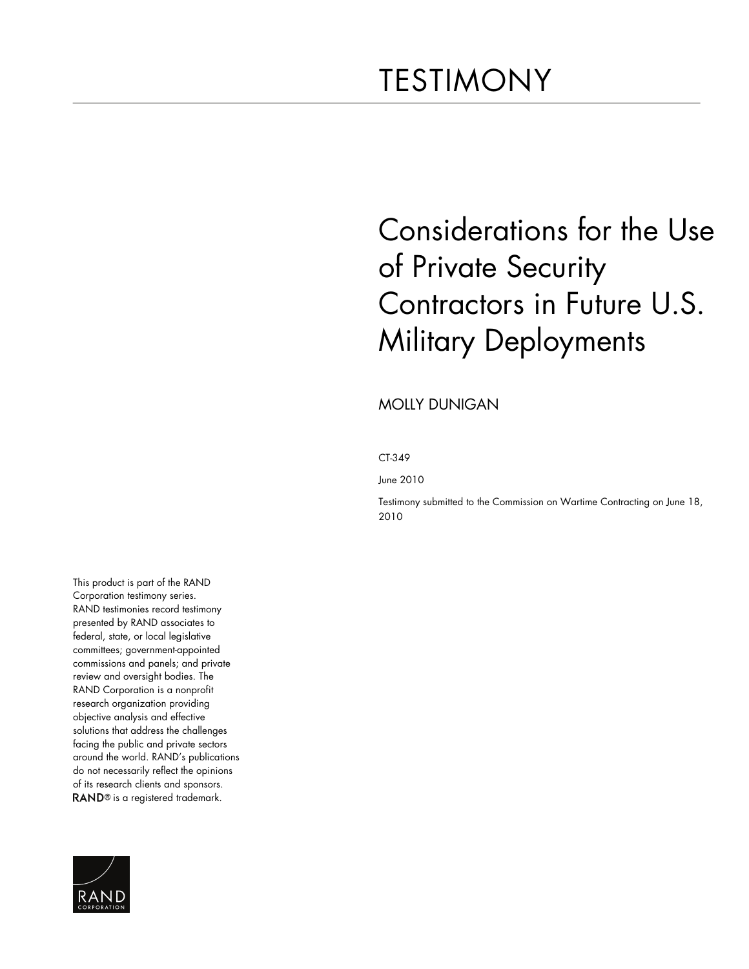# TESTIMONY

# Considerations for the Use of Private Security Contractors in Future U.S. Military Deployments

MOLLY DUNIGAN

CT-349

June 2010

Testimony submitted to the Commission on Wartime Contracting on June 18, 2010

This product is part of the RAND Corporation testimony series. RAND testimonies record testimony presented by RAND associates to federal, state, or local legislative committees; government-appointed commissions and panels; and private review and oversight bodies. The RAND Corporation is a nonprofit research organization providing objective analysis and effective solutions that address the challenges facing the public and private sectors around the world. RAND's publications do not necessarily reflect the opinions of its research clients and sponsors. RAND<sup>®</sup> is a registered trademark.

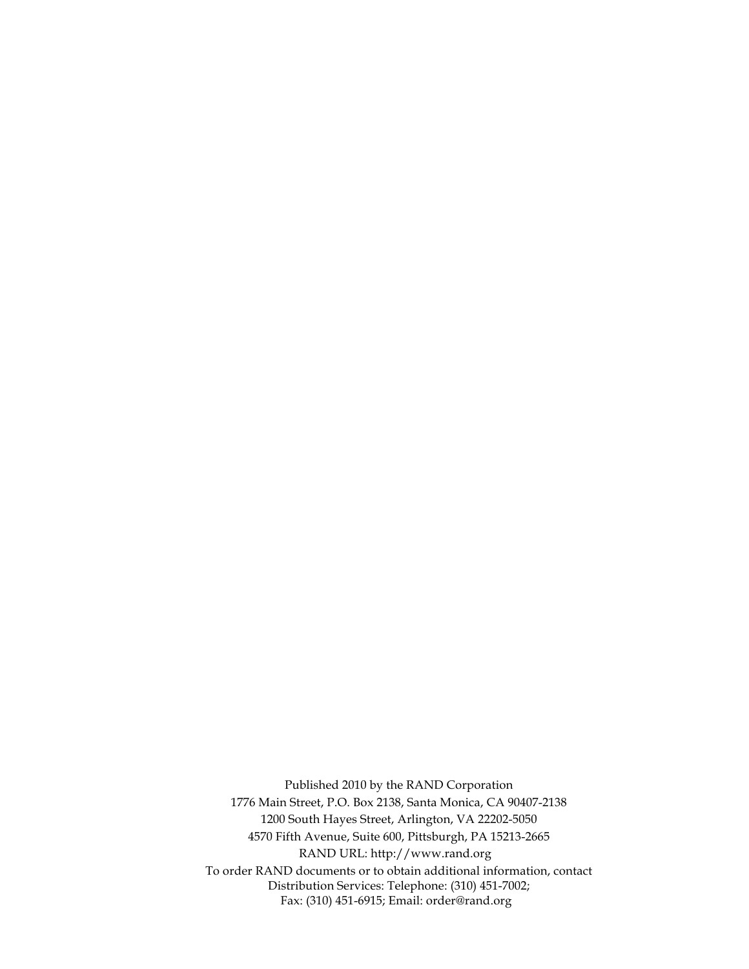Published 2010 by the RAND Corporation 1776 Main Street, P.O. Box 2138, Santa Monica, CA 90407-2138 1200 South Hayes Street, Arlington, VA 22202-5050 4570 Fifth Avenue, Suite 600, Pittsburgh, PA 15213-2665 RAND URL: [http://www.rand.org](http://www.rand.org/) To order RAND documents or to obtain additional information, contact Distribution Services: Telephone: (310) 451-7002; Fax: (310) 451-6915; Email: [order@rand.org](mailto:order@rand.org)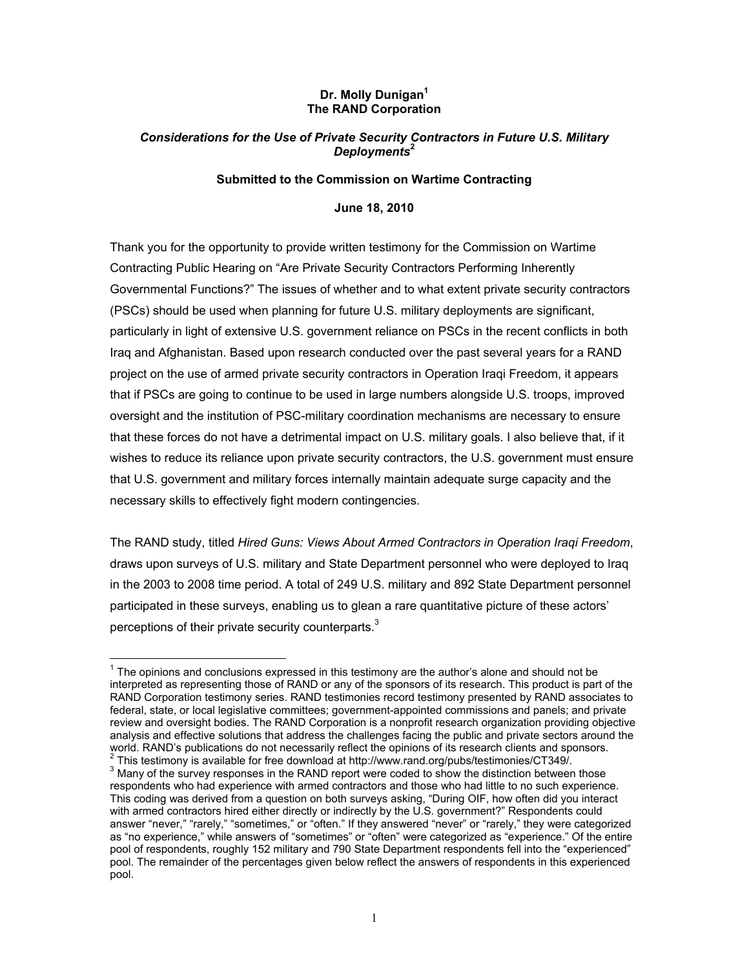#### **Dr. Molly Dunigan1 The RAND Corporation**

#### *Considerations for the Use of Private Security Contractors in Future U.S. Military Deployments***<sup>2</sup>**

#### **Submitted to the Commission on Wartime Contracting**

#### **June 18, 2010**

Thank you for the opportunity to provide written testimony for the Commission on Wartime Contracting Public Hearing on "Are Private Security Contractors Performing Inherently Governmental Functions?" The issues of whether and to what extent private security contractors (PSCs) should be used when planning for future U.S. military deployments are significant, particularly in light of extensive U.S. government reliance on PSCs in the recent conflicts in both Iraq and Afghanistan. Based upon research conducted over the past several years for a RAND project on the use of armed private security contractors in Operation Iraqi Freedom, it appears that if PSCs are going to continue to be used in large numbers alongside U.S. troops, improved oversight and the institution of PSC-military coordination mechanisms are necessary to ensure that these forces do not have a detrimental impact on U.S. military goals. I also believe that, if it wishes to reduce its reliance upon private security contractors, the U.S. government must ensure that U.S. government and military forces internally maintain adequate surge capacity and the necessary skills to effectively fight modern contingencies.

The RAND study, titled *Hired Guns: Views About Armed Contractors in Operation Iraqi Freedom*, draws upon surveys of U.S. military and State Department personnel who were deployed to Iraq in the 2003 to 2008 time period. A total of 249 U.S. military and 892 State Department personnel participated in these surveys, enabling us to glean a rare quantitative picture of these actors' perceptions of their private security counterparts.<sup>3</sup>

 $1$  The opinions and conclusions expressed in this testimony are the author's alone and should not be interpreted as representing those of RAND or any of the sponsors of its research. This product is part of the RAND Corporation testimony series. RAND testimonies record testimony presented by RAND associates to federal, state, or local legislative committees; government-appointed commissions and panels; and private review and oversight bodies. The RAND Corporation is a nonprofit research organization providing objective analysis and effective solutions that address the challenges facing the public and private sectors around the world. RAND's publications do not necessarily reflect the opinions of its research clients and sponsors.  $2$  This testimony is available for free download at http://www.rand.org/pubs/testimonies/CT349/.

 $3$  Many of the survey responses in the RAND report were coded to show the distinction between those respondents who had experience with armed contractors and those who had little to no such experience. This coding was derived from a question on both surveys asking, "During OIF, how often did you interact with armed contractors hired either directly or indirectly by the U.S. government?" Respondents could answer "never," "rarely," "sometimes," or "often." If they answered "never" or "rarely," they were categorized as "no experience," while answers of "sometimes" or "often" were categorized as "experience." Of the entire pool of respondents, roughly 152 military and 790 State Department respondents fell into the "experienced" pool. The remainder of the percentages given below reflect the answers of respondents in this experienced pool.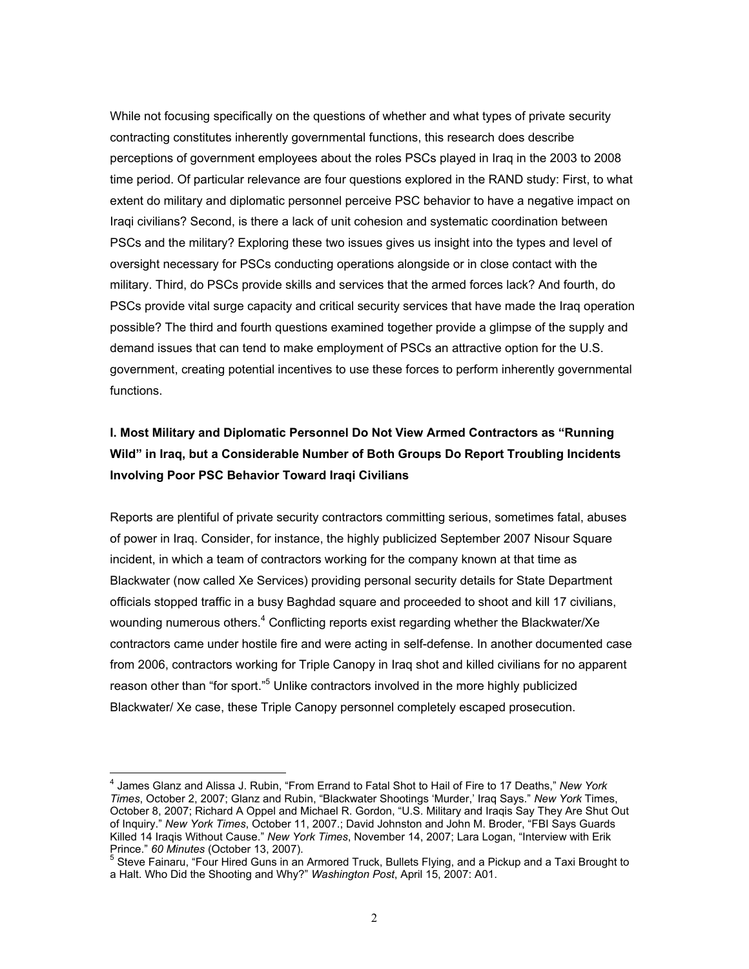While not focusing specifically on the questions of whether and what types of private security contracting constitutes inherently governmental functions, this research does describe perceptions of government employees about the roles PSCs played in Iraq in the 2003 to 2008 time period. Of particular relevance are four questions explored in the RAND study: First, to what extent do military and diplomatic personnel perceive PSC behavior to have a negative impact on Iraqi civilians? Second, is there a lack of unit cohesion and systematic coordination between PSCs and the military? Exploring these two issues gives us insight into the types and level of oversight necessary for PSCs conducting operations alongside or in close contact with the military. Third, do PSCs provide skills and services that the armed forces lack? And fourth, do PSCs provide vital surge capacity and critical security services that have made the Iraq operation possible? The third and fourth questions examined together provide a glimpse of the supply and demand issues that can tend to make employment of PSCs an attractive option for the U.S. government, creating potential incentives to use these forces to perform inherently governmental functions.

## **I. Most Military and Diplomatic Personnel Do Not View Armed Contractors as "Running Wild" in Iraq, but a Considerable Number of Both Groups Do Report Troubling Incidents Involving Poor PSC Behavior Toward Iraqi Civilians**

Reports are plentiful of private security contractors committing serious, sometimes fatal, abuses of power in Iraq. Consider, for instance, the highly publicized September 2007 Nisour Square incident, in which a team of contractors working for the company known at that time as Blackwater (now called Xe Services) providing personal security details for State Department officials stopped traffic in a busy Baghdad square and proceeded to shoot and kill 17 civilians, wounding numerous others.<sup>4</sup> Conflicting reports exist regarding whether the Blackwater/Xe contractors came under hostile fire and were acting in self-defense. In another documented case from 2006, contractors working for Triple Canopy in Iraq shot and killed civilians for no apparent reason other than "for sport."<sup>5</sup> Unlike contractors involved in the more highly publicized Blackwater/ Xe case, these Triple Canopy personnel completely escaped prosecution.

<sup>4</sup> James Glanz and Alissa J. Rubin, "From Errand to Fatal Shot to Hail of Fire to 17 Deaths," *New York Times*, October 2, 2007; Glanz and Rubin, "Blackwater Shootings 'Murder,' Iraq Says." *New York* Times, October 8, 2007; Richard A Oppel and Michael R. Gordon, "U.S. Military and Iraqis Say They Are Shut Out of Inquiry." *New York Times*, October 11, 2007.; David Johnston and John M. Broder, "FBI Says Guards Killed 14 Iraqis Without Cause." *New York Times*, November 14, 2007; Lara Logan, "Interview with Erik Prince." *60 Minutes* (October 13, 2007). 5

<sup>&</sup>lt;sup>5</sup> Steve Fainaru, "Four Hired Guns in an Armored Truck, Bullets Flying, and a Pickup and a Taxi Brought to a Halt. Who Did the Shooting and Why?" *Washington Post*, April 15, 2007: A01.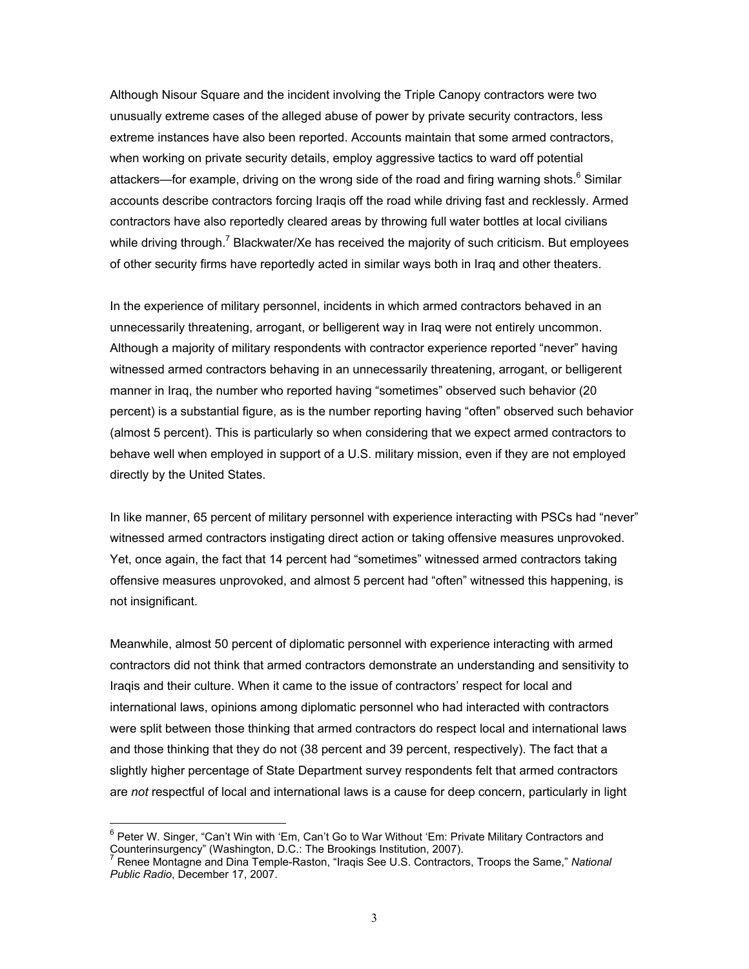Although Nisour Square and the incident involving the Triple Canopy contractors were two unusually extreme cases of the alleged abuse of power by private security contractors, less extreme instances have also been reported. Accounts maintain that some armed contractors, when working on private security details, employ aggressive tactics to ward off potential attackers—for example, driving on the wrong side of the road and firing warning shots.<sup>6</sup> Similar accounts describe contractors forcing Iraqis off the road while driving fast and recklessly. Armed contractors have also reportedly cleared areas by throwing full water bottles at local civilians while driving through.<sup>7</sup> Blackwater/Xe has received the majority of such criticism. But employees of other security firms have reportedly acted in similar ways both in Iraq and other theaters.

In the experience of military personnel, incidents in which armed contractors behaved in an unnecessarily threatening, arrogant, or belligerent way in Iraq were not entirely uncommon. Although a majority of military respondents with contractor experience reported "never" having witnessed armed contractors behaving in an unnecessarily threatening, arrogant, or belligerent manner in Iraq, the number who reported having "sometimes" observed such behavior (20 percent) is a substantial figure, as is the number reporting having "often" observed such behavior (almost 5 percent). This is particularly so when considering that we expect armed contractors to behave well when employed in support of a U.S. military mission, even if they are not employed directly by the United States.

In like manner, 65 percent of military personnel with experience interacting with PSCs had "never" witnessed armed contractors instigating direct action or taking offensive measures unprovoked. Yet, once again, the fact that 14 percent had "sometimes" witnessed armed contractors taking offensive measures unprovoked, and almost 5 percent had "often" witnessed this happening, is not insignificant.

Meanwhile, almost 50 percent of diplomatic personnel with experience interacting with armed contractors did not think that armed contractors demonstrate an understanding and sensitivity to Iraqis and their culture. When it came to the issue of contractors' respect for local and international laws, opinions among diplomatic personnel who had interacted with contractors were split between those thinking that armed contractors do respect local and international laws and those thinking that they do not (38 percent and 39 percent, respectively). The fact that a slightly higher percentage of State Department survey respondents felt that armed contractors are *not* respectful of local and international laws is a cause for deep concern, particularly in light

enter W. Singer, "Can't Win with 'Em, Can't Go to War Without 'Em: Private Military Contractors and<br>Experience W. Singer, "Can't Win with 'Em, Can't Go to War Without 'Em: Private Military Contractors and Counterinsurgency" (Washington, D.C.: The Brookings Institution, 2007).

Renee Montagne and Dina Temple-Raston, "Iraqis See U.S. Contractors, Troops the Same," *National Public Radio*, December 17, 2007.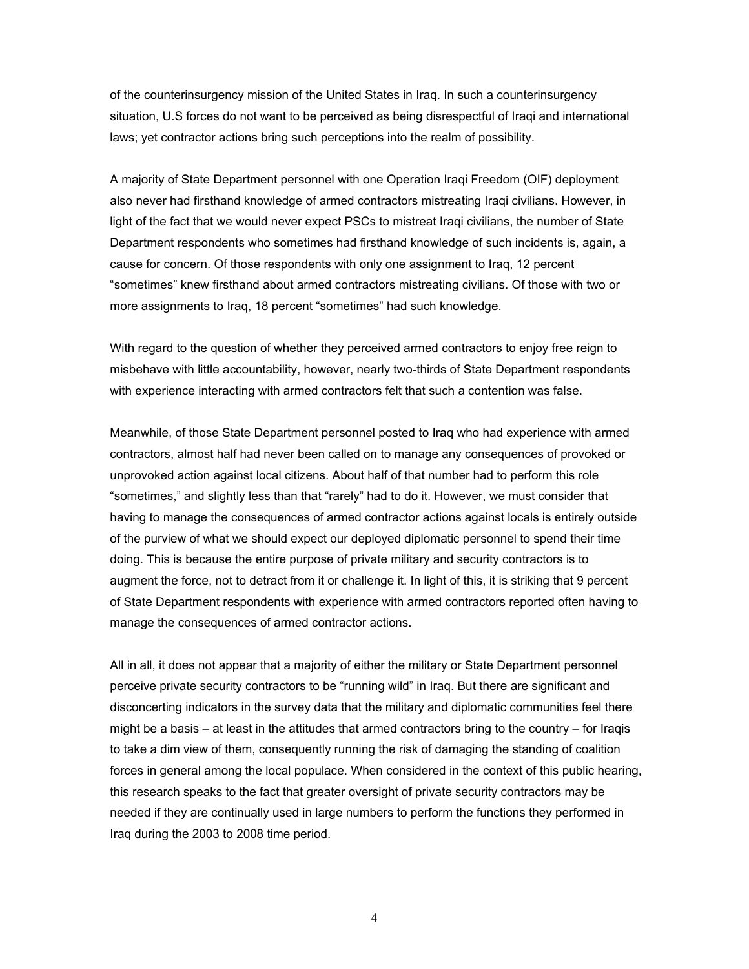of the counterinsurgency mission of the United States in Iraq. In such a counterinsurgency situation, U.S forces do not want to be perceived as being disrespectful of Iraqi and international laws; yet contractor actions bring such perceptions into the realm of possibility.

A majority of State Department personnel with one Operation Iraqi Freedom (OIF) deployment also never had firsthand knowledge of armed contractors mistreating Iraqi civilians. However, in light of the fact that we would never expect PSCs to mistreat Iraqi civilians, the number of State Department respondents who sometimes had firsthand knowledge of such incidents is, again, a cause for concern. Of those respondents with only one assignment to Iraq, 12 percent "sometimes" knew firsthand about armed contractors mistreating civilians. Of those with two or more assignments to Iraq, 18 percent "sometimes" had such knowledge.

With regard to the question of whether they perceived armed contractors to enjoy free reign to misbehave with little accountability, however, nearly two-thirds of State Department respondents with experience interacting with armed contractors felt that such a contention was false.

Meanwhile, of those State Department personnel posted to Iraq who had experience with armed contractors, almost half had never been called on to manage any consequences of provoked or unprovoked action against local citizens. About half of that number had to perform this role "sometimes," and slightly less than that "rarely" had to do it. However, we must consider that having to manage the consequences of armed contractor actions against locals is entirely outside of the purview of what we should expect our deployed diplomatic personnel to spend their time doing. This is because the entire purpose of private military and security contractors is to augment the force, not to detract from it or challenge it. In light of this, it is striking that 9 percent of State Department respondents with experience with armed contractors reported often having to manage the consequences of armed contractor actions.

All in all, it does not appear that a majority of either the military or State Department personnel perceive private security contractors to be "running wild" in Iraq. But there are significant and disconcerting indicators in the survey data that the military and diplomatic communities feel there might be a basis – at least in the attitudes that armed contractors bring to the country – for Iraqis to take a dim view of them, consequently running the risk of damaging the standing of coalition forces in general among the local populace. When considered in the context of this public hearing, this research speaks to the fact that greater oversight of private security contractors may be needed if they are continually used in large numbers to perform the functions they performed in Iraq during the 2003 to 2008 time period.

4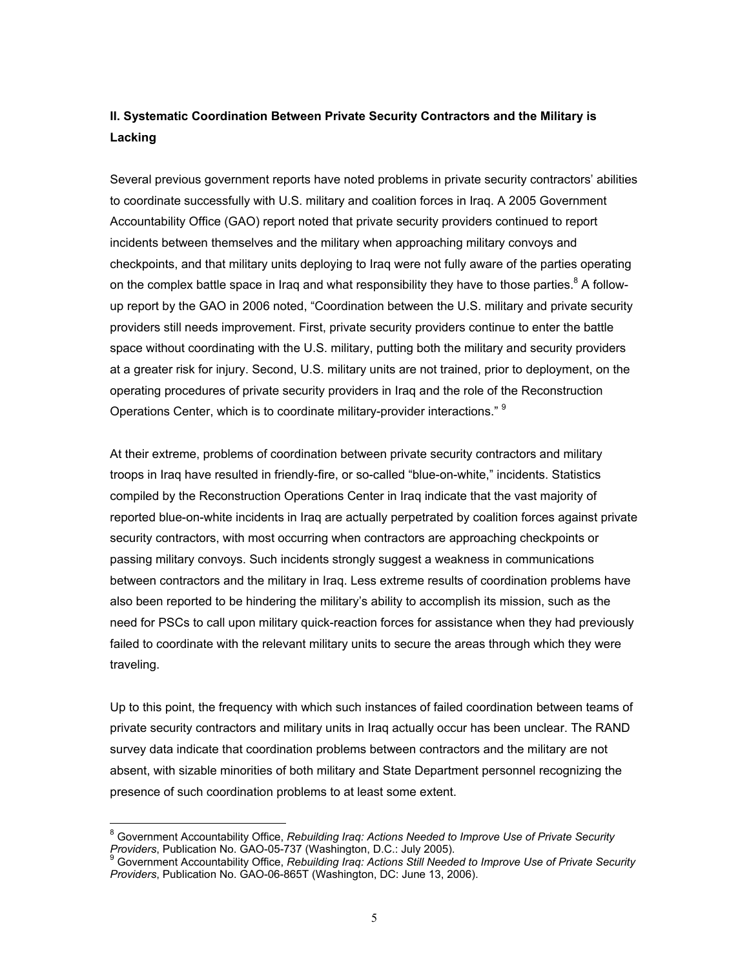### **II. Systematic Coordination Between Private Security Contractors and the Military is Lacking**

Several previous government reports have noted problems in private security contractors' abilities to coordinate successfully with U.S. military and coalition forces in Iraq. A 2005 Government Accountability Office (GAO) report noted that private security providers continued to report incidents between themselves and the military when approaching military convoys and checkpoints, and that military units deploying to Iraq were not fully aware of the parties operating on the complex battle space in Iraq and what responsibility they have to those parties. $8^8$  A followup report by the GAO in 2006 noted, "Coordination between the U.S. military and private security providers still needs improvement. First, private security providers continue to enter the battle space without coordinating with the U.S. military, putting both the military and security providers at a greater risk for injury. Second, U.S. military units are not trained, prior to deployment, on the operating procedures of private security providers in Iraq and the role of the Reconstruction Operations Center, which is to coordinate military-provider interactions." <sup>9</sup>

At their extreme, problems of coordination between private security contractors and military troops in Iraq have resulted in friendly-fire, or so-called "blue-on-white," incidents. Statistics compiled by the Reconstruction Operations Center in Iraq indicate that the vast majority of reported blue-on-white incidents in Iraq are actually perpetrated by coalition forces against private security contractors, with most occurring when contractors are approaching checkpoints or passing military convoys. Such incidents strongly suggest a weakness in communications between contractors and the military in Iraq. Less extreme results of coordination problems have also been reported to be hindering the military's ability to accomplish its mission, such as the need for PSCs to call upon military quick-reaction forces for assistance when they had previously failed to coordinate with the relevant military units to secure the areas through which they were traveling.

Up to this point, the frequency with which such instances of failed coordination between teams of private security contractors and military units in Iraq actually occur has been unclear. The RAND survey data indicate that coordination problems between contractors and the military are not absent, with sizable minorities of both military and State Department personnel recognizing the presence of such coordination problems to at least some extent.

 8 Government Accountability Office, *Rebuilding Iraq: Actions Needed to Improve Use of Private Security Providers*, Publication No. GAO-05-737 (Washington, D.C.: July 2005).

Government Accountability Office, *Rebuilding Iraq: Actions Still Needed to Improve Use of Private Security Providers*, Publication No. GAO-06-865T (Washington, DC: June 13, 2006).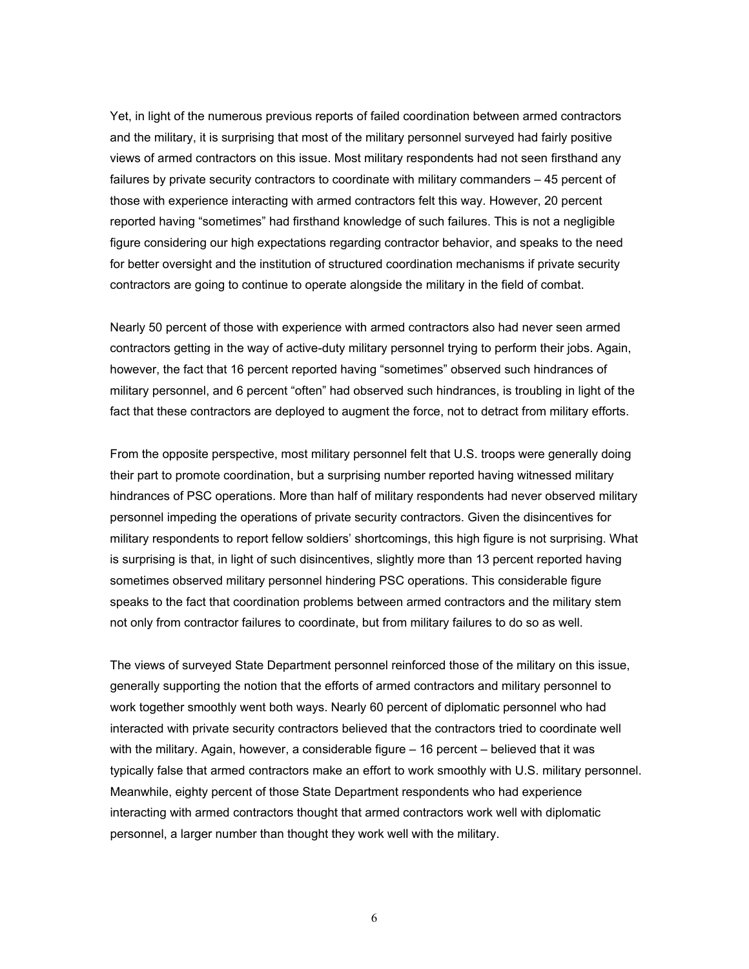Yet, in light of the numerous previous reports of failed coordination between armed contractors and the military, it is surprising that most of the military personnel surveyed had fairly positive views of armed contractors on this issue. Most military respondents had not seen firsthand any failures by private security contractors to coordinate with military commanders – 45 percent of those with experience interacting with armed contractors felt this way. However, 20 percent reported having "sometimes" had firsthand knowledge of such failures. This is not a negligible figure considering our high expectations regarding contractor behavior, and speaks to the need for better oversight and the institution of structured coordination mechanisms if private security contractors are going to continue to operate alongside the military in the field of combat.

Nearly 50 percent of those with experience with armed contractors also had never seen armed contractors getting in the way of active-duty military personnel trying to perform their jobs. Again, however, the fact that 16 percent reported having "sometimes" observed such hindrances of military personnel, and 6 percent "often" had observed such hindrances, is troubling in light of the fact that these contractors are deployed to augment the force, not to detract from military efforts.

From the opposite perspective, most military personnel felt that U.S. troops were generally doing their part to promote coordination, but a surprising number reported having witnessed military hindrances of PSC operations. More than half of military respondents had never observed military personnel impeding the operations of private security contractors. Given the disincentives for military respondents to report fellow soldiers' shortcomings, this high figure is not surprising. What is surprising is that, in light of such disincentives, slightly more than 13 percent reported having sometimes observed military personnel hindering PSC operations. This considerable figure speaks to the fact that coordination problems between armed contractors and the military stem not only from contractor failures to coordinate, but from military failures to do so as well.

The views of surveyed State Department personnel reinforced those of the military on this issue, generally supporting the notion that the efforts of armed contractors and military personnel to work together smoothly went both ways. Nearly 60 percent of diplomatic personnel who had interacted with private security contractors believed that the contractors tried to coordinate well with the military. Again, however, a considerable figure – 16 percent – believed that it was typically false that armed contractors make an effort to work smoothly with U.S. military personnel. Meanwhile, eighty percent of those State Department respondents who had experience interacting with armed contractors thought that armed contractors work well with diplomatic personnel, a larger number than thought they work well with the military.

6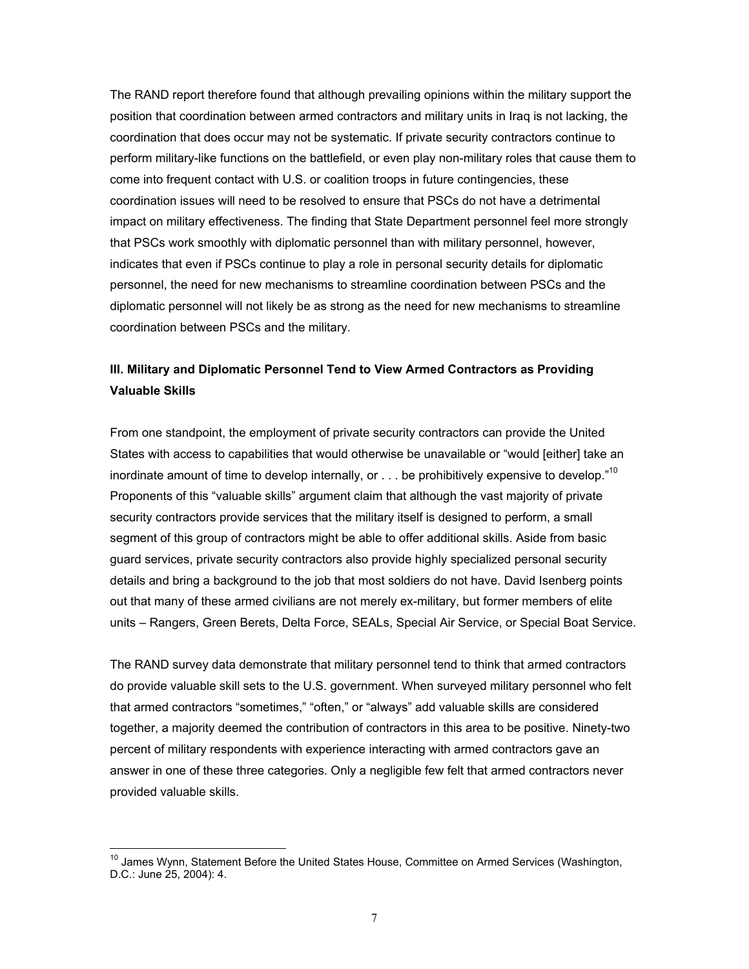The RAND report therefore found that although prevailing opinions within the military support the position that coordination between armed contractors and military units in Iraq is not lacking, the coordination that does occur may not be systematic. If private security contractors continue to perform military-like functions on the battlefield, or even play non-military roles that cause them to come into frequent contact with U.S. or coalition troops in future contingencies, these coordination issues will need to be resolved to ensure that PSCs do not have a detrimental impact on military effectiveness. The finding that State Department personnel feel more strongly that PSCs work smoothly with diplomatic personnel than with military personnel, however, indicates that even if PSCs continue to play a role in personal security details for diplomatic personnel, the need for new mechanisms to streamline coordination between PSCs and the diplomatic personnel will not likely be as strong as the need for new mechanisms to streamline coordination between PSCs and the military.

### **III. Military and Diplomatic Personnel Tend to View Armed Contractors as Providing Valuable Skills**

From one standpoint, the employment of private security contractors can provide the United States with access to capabilities that would otherwise be unavailable or "would [either] take an inordinate amount of time to develop internally, or  $\dots$  be prohibitively expensive to develop."<sup>10</sup> Proponents of this "valuable skills" argument claim that although the vast majority of private security contractors provide services that the military itself is designed to perform, a small segment of this group of contractors might be able to offer additional skills. Aside from basic guard services, private security contractors also provide highly specialized personal security details and bring a background to the job that most soldiers do not have. David Isenberg points out that many of these armed civilians are not merely ex-military, but former members of elite units – Rangers, Green Berets, Delta Force, SEALs, Special Air Service, or Special Boat Service.

The RAND survey data demonstrate that military personnel tend to think that armed contractors do provide valuable skill sets to the U.S. government. When surveyed military personnel who felt that armed contractors "sometimes," "often," or "always" add valuable skills are considered together, a majority deemed the contribution of contractors in this area to be positive. Ninety-two percent of military respondents with experience interacting with armed contractors gave an answer in one of these three categories. Only a negligible few felt that armed contractors never provided valuable skills.

<sup>&</sup>lt;sup>10</sup> James Wynn, Statement Before the United States House, Committee on Armed Services (Washington, D.C.: June 25, 2004): 4.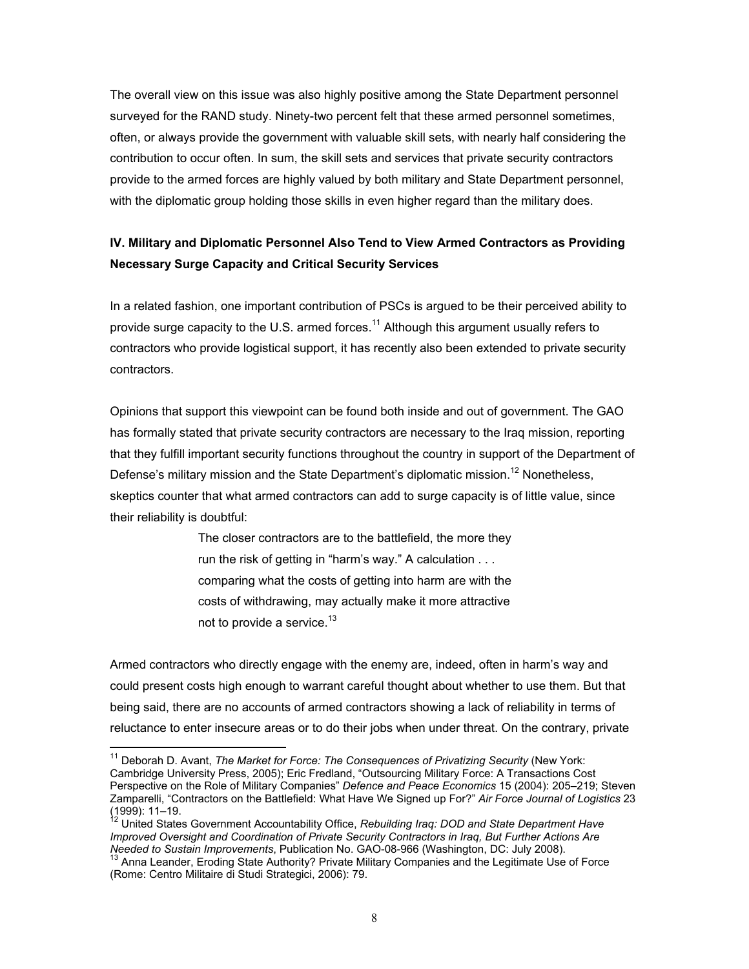The overall view on this issue was also highly positive among the State Department personnel surveyed for the RAND study. Ninety-two percent felt that these armed personnel sometimes, often, or always provide the government with valuable skill sets, with nearly half considering the contribution to occur often. In sum, the skill sets and services that private security contractors provide to the armed forces are highly valued by both military and State Department personnel, with the diplomatic group holding those skills in even higher regard than the military does.

## **IV. Military and Diplomatic Personnel Also Tend to View Armed Contractors as Providing Necessary Surge Capacity and Critical Security Services**

In a related fashion, one important contribution of PSCs is argued to be their perceived ability to provide surge capacity to the U.S. armed forces.<sup>11</sup> Although this argument usually refers to contractors who provide logistical support, it has recently also been extended to private security contractors.

Opinions that support this viewpoint can be found both inside and out of government. The GAO has formally stated that private security contractors are necessary to the Iraq mission, reporting that they fulfill important security functions throughout the country in support of the Department of Defense's military mission and the State Department's diplomatic mission.<sup>12</sup> Nonetheless. skeptics counter that what armed contractors can add to surge capacity is of little value, since their reliability is doubtful:

> The closer contractors are to the battlefield, the more they run the risk of getting in "harm's way." A calculation . . . comparing what the costs of getting into harm are with the costs of withdrawing, may actually make it more attractive not to provide a service. $13$

Armed contractors who directly engage with the enemy are, indeed, often in harm's way and could present costs high enough to warrant careful thought about whether to use them. But that being said, there are no accounts of armed contractors showing a lack of reliability in terms of reluctance to enter insecure areas or to do their jobs when under threat. On the contrary, private

<sup>&</sup>lt;sup>11</sup> Deborah D. Avant, *The Market for Force: The Consequences of Privatizing Security* (New York: Cambridge University Press, 2005); Eric Fredland, "Outsourcing Military Force: A Transactions Cost Perspective on the Role of Military Companies" *Defence and Peace Economics* 15 (2004): 205–219; Steven Zamparelli, "Contractors on the Battlefield: What Have We Signed up For?" *Air Force Journal of Logistics* 23 (1999): 11–19.

<sup>&</sup>lt;sup>12</sup> United States Government Accountability Office, Rebuilding Iraq: DOD and State Department Have *Improved Oversight and Coordination of Private Security Contractors in Iraq, But Further Actions Are Needed to Sustain Improvements, Publication No. GAO-08-966 (Washington, DC: July 2008).* 

<sup>&</sup>lt;sup>13</sup> Anna Leander, Eroding State Authority? Private Military Companies and the Legitimate Use of Force (Rome: Centro Militaire di Studi Strategici, 2006): 79.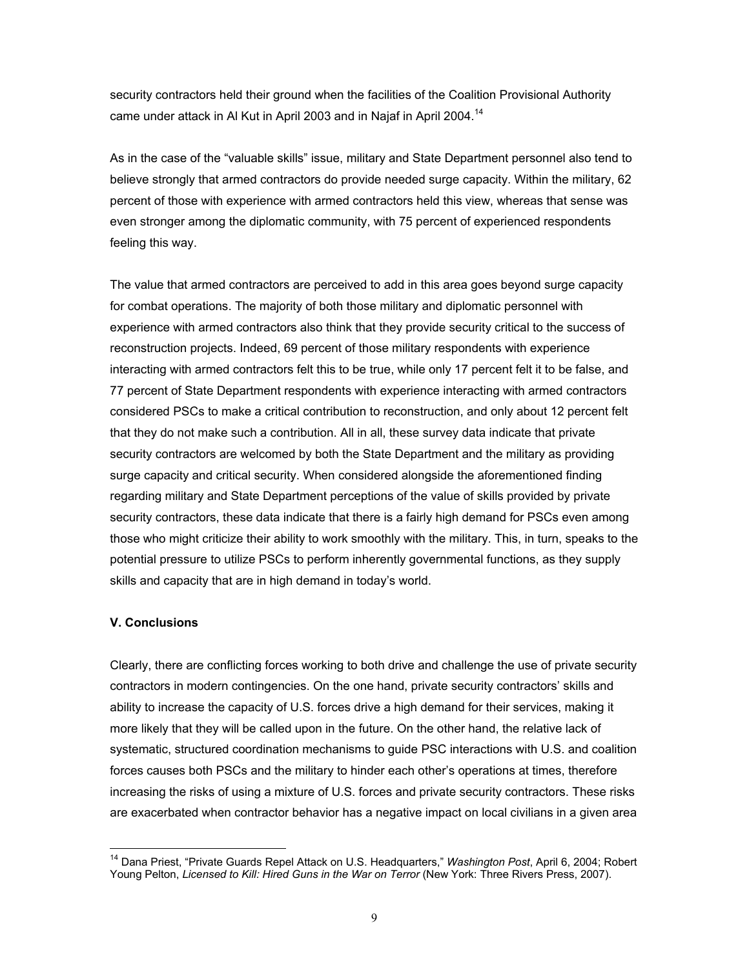security contractors held their ground when the facilities of the Coalition Provisional Authority came under attack in Al Kut in April 2003 and in Najaf in April 2004.<sup>14</sup>

As in the case of the "valuable skills" issue, military and State Department personnel also tend to believe strongly that armed contractors do provide needed surge capacity. Within the military, 62 percent of those with experience with armed contractors held this view, whereas that sense was even stronger among the diplomatic community, with 75 percent of experienced respondents feeling this way.

The value that armed contractors are perceived to add in this area goes beyond surge capacity for combat operations. The majority of both those military and diplomatic personnel with experience with armed contractors also think that they provide security critical to the success of reconstruction projects. Indeed, 69 percent of those military respondents with experience interacting with armed contractors felt this to be true, while only 17 percent felt it to be false, and 77 percent of State Department respondents with experience interacting with armed contractors considered PSCs to make a critical contribution to reconstruction, and only about 12 percent felt that they do not make such a contribution. All in all, these survey data indicate that private security contractors are welcomed by both the State Department and the military as providing surge capacity and critical security. When considered alongside the aforementioned finding regarding military and State Department perceptions of the value of skills provided by private security contractors, these data indicate that there is a fairly high demand for PSCs even among those who might criticize their ability to work smoothly with the military. This, in turn, speaks to the potential pressure to utilize PSCs to perform inherently governmental functions, as they supply skills and capacity that are in high demand in today's world.

#### **V. Conclusions**

 $\overline{a}$ 

Clearly, there are conflicting forces working to both drive and challenge the use of private security contractors in modern contingencies. On the one hand, private security contractors' skills and ability to increase the capacity of U.S. forces drive a high demand for their services, making it more likely that they will be called upon in the future. On the other hand, the relative lack of systematic, structured coordination mechanisms to guide PSC interactions with U.S. and coalition forces causes both PSCs and the military to hinder each other's operations at times, therefore increasing the risks of using a mixture of U.S. forces and private security contractors. These risks are exacerbated when contractor behavior has a negative impact on local civilians in a given area

<sup>14</sup> Dana Priest, "Private Guards Repel Attack on U.S. Headquarters," *Washington Post*, April 6, 2004; Robert Young Pelton, *Licensed to Kill: Hired Guns in the War on Terror* (New York: Three Rivers Press, 2007).